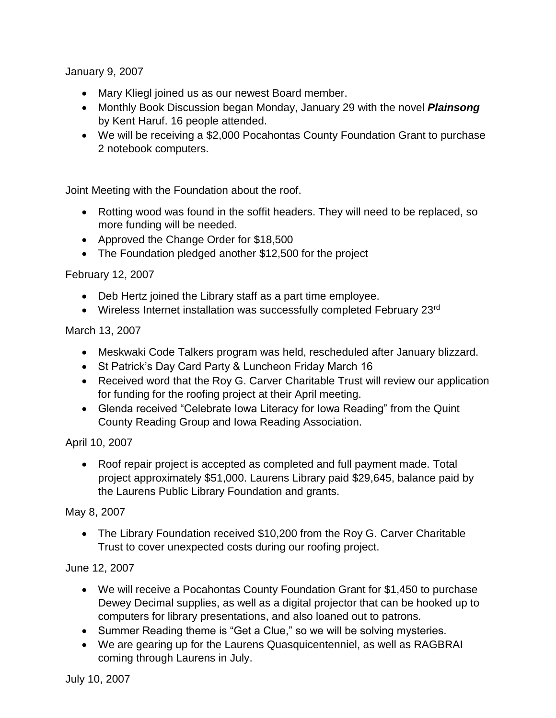January 9, 2007

- Mary Kliegl joined us as our newest Board member.
- Monthly Book Discussion began Monday, January 29 with the novel *Plainsong*  by Kent Haruf. 16 people attended.
- We will be receiving a \$2,000 Pocahontas County Foundation Grant to purchase 2 notebook computers.

Joint Meeting with the Foundation about the roof.

- Rotting wood was found in the soffit headers. They will need to be replaced, so more funding will be needed.
- Approved the Change Order for \$18,500
- The Foundation pledged another \$12,500 for the project

February 12, 2007

- Deb Hertz joined the Library staff as a part time employee.
- Wireless Internet installation was successfully completed February 23rd

#### March 13, 2007

- Meskwaki Code Talkers program was held, rescheduled after January blizzard.
- St Patrick's Day Card Party & Luncheon Friday March 16
- Received word that the Roy G. Carver Charitable Trust will review our application for funding for the roofing project at their April meeting.
- Glenda received "Celebrate Iowa Literacy for Iowa Reading" from the Quint County Reading Group and Iowa Reading Association.

### April 10, 2007

 Roof repair project is accepted as completed and full payment made. Total project approximately \$51,000. Laurens Library paid \$29,645, balance paid by the Laurens Public Library Foundation and grants.

### May 8, 2007

• The Library Foundation received \$10,200 from the Roy G. Carver Charitable Trust to cover unexpected costs during our roofing project.

### June 12, 2007

- We will receive a Pocahontas County Foundation Grant for \$1,450 to purchase Dewey Decimal supplies, as well as a digital projector that can be hooked up to computers for library presentations, and also loaned out to patrons.
- Summer Reading theme is "Get a Clue," so we will be solving mysteries.
- We are gearing up for the Laurens Quasquicentenniel, as well as RAGBRAI coming through Laurens in July.